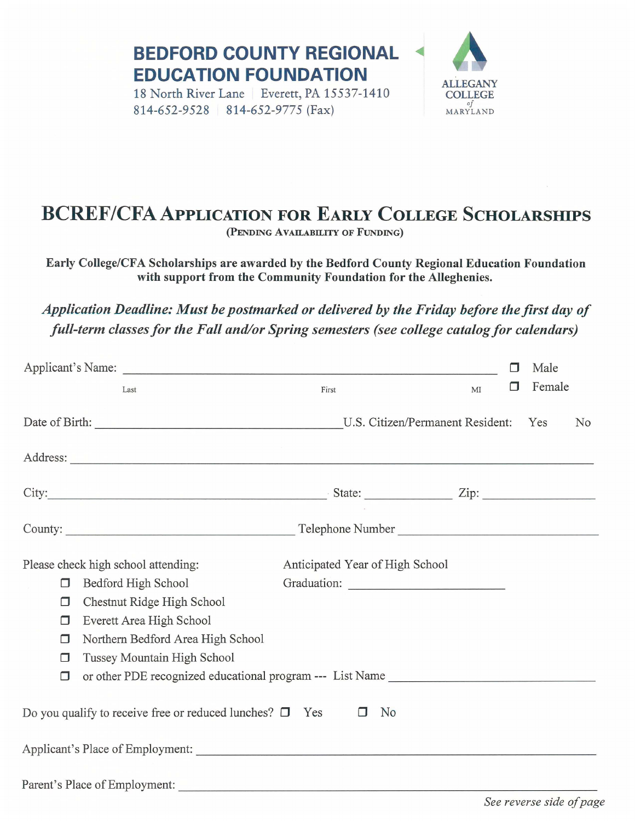**BEDFORD COUNTY REGIONAL** ◄ **EDUCATION FOUNDATION**<br>18 North River Lane | Everett, PA 15537-1410 **ALLEGANY** 

18 North River Lane | Everett, PA 15537-1410 814-652-9528 814-652-9775 (Fax)



## **BCREF/CFA APPLICATION FOR EARLY COLLEGE SCHOLARSHIPS**

**(PENDING AVAILABILITY OF FUNDING)** 

Early College/CFA Scholarships are awarded by the Bedford County Regional Education Foundation with support from the Community Foundation for the Alleghenies.

*Application Deadline: Must be postmarked or delivered by the Friday before the first day of full-term classes for the Fall and/or Spring semesters (see college catalog for calendars)* 

|                                                                                                                                                                                                                                      |        |                                                                                                                                                                                                                                |                                  |    |  | Male   |    |
|--------------------------------------------------------------------------------------------------------------------------------------------------------------------------------------------------------------------------------------|--------|--------------------------------------------------------------------------------------------------------------------------------------------------------------------------------------------------------------------------------|----------------------------------|----|--|--------|----|
|                                                                                                                                                                                                                                      |        | Last                                                                                                                                                                                                                           | First                            | MI |  | Female |    |
|                                                                                                                                                                                                                                      |        |                                                                                                                                                                                                                                | U.S. Citizen/Permanent Resident: |    |  | Yes    | No |
| Address: <u>New York: Address: Address: Address: Address: Address: Address: Address: Address: Address: Address: Address: Address: Address: Address: Address: Address: Address: Address: Address: Address: Address: Address: Addr</u> |        |                                                                                                                                                                                                                                |                                  |    |  |        |    |
|                                                                                                                                                                                                                                      |        | City: <u>City:</u> State: <u>City:</u> City: 2ip:                                                                                                                                                                              |                                  |    |  |        |    |
|                                                                                                                                                                                                                                      |        | County: County: County: County: County: County: County: County: County: County: County: County: County: County: County: County: County: County: County: County: County: County: County: County: County: County: County: County |                                  |    |  |        |    |
| Please check high school attending:                                                                                                                                                                                                  |        |                                                                                                                                                                                                                                | Anticipated Year of High School  |    |  |        |    |
|                                                                                                                                                                                                                                      | □      | Bedford High School                                                                                                                                                                                                            |                                  |    |  |        |    |
|                                                                                                                                                                                                                                      | П      | Chestnut Ridge High School                                                                                                                                                                                                     |                                  |    |  |        |    |
|                                                                                                                                                                                                                                      | $\Box$ | Everett Area High School                                                                                                                                                                                                       |                                  |    |  |        |    |
|                                                                                                                                                                                                                                      | П      | Northern Bedford Area High School                                                                                                                                                                                              |                                  |    |  |        |    |
|                                                                                                                                                                                                                                      | $\Box$ | Tussey Mountain High School                                                                                                                                                                                                    |                                  |    |  |        |    |
|                                                                                                                                                                                                                                      | $\Box$ | or other PDE recognized educational program --- List Name                                                                                                                                                                      |                                  |    |  |        |    |
| Do you qualify to receive free or reduced lunches? $\square$ Yes<br>N <sub>o</sub><br>$\Box$                                                                                                                                         |        |                                                                                                                                                                                                                                |                                  |    |  |        |    |
| Applicant's Place of Employment:                                                                                                                                                                                                     |        |                                                                                                                                                                                                                                |                                  |    |  |        |    |
| Parent's Place of Employment:                                                                                                                                                                                                        |        |                                                                                                                                                                                                                                |                                  |    |  |        |    |